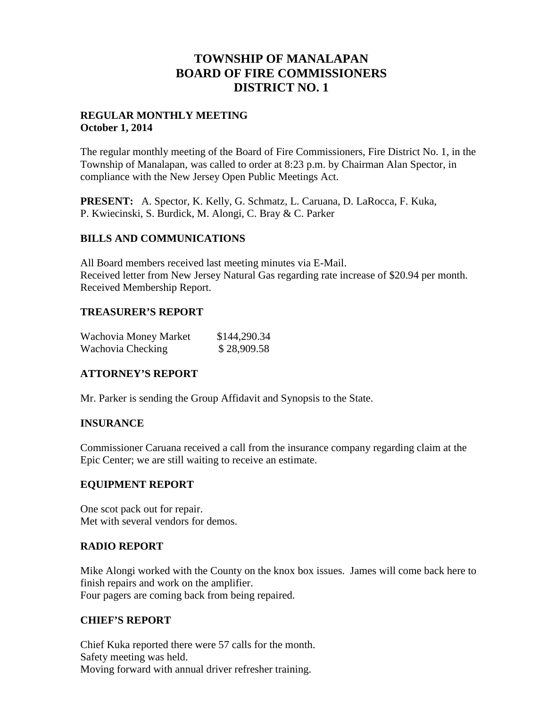# **TOWNSHIP OF MANALAPAN BOARD OF FIRE COMMISSIONERS DISTRICT NO. 1**

## **REGULAR MONTHLY MEETING October 1, 2014**

The regular monthly meeting of the Board of Fire Commissioners, Fire District No. 1, in the Township of Manalapan, was called to order at 8:23 p.m. by Chairman Alan Spector, in compliance with the New Jersey Open Public Meetings Act.

**PRESENT:** A. Spector, K. Kelly, G. Schmatz, L. Caruana, D. LaRocca, F. Kuka, P. Kwiecinski, S. Burdick, M. Alongi, C. Bray & C. Parker

## **BILLS AND COMMUNICATIONS**

All Board members received last meeting minutes via E-Mail. Received letter from New Jersey Natural Gas regarding rate increase of \$20.94 per month. Received Membership Report.

## **TREASURER'S REPORT**

| Wachovia Money Market | \$144,290.34 |
|-----------------------|--------------|
| Wachovia Checking     | \$28,909.58  |

# **ATTORNEY'S REPORT**

Mr. Parker is sending the Group Affidavit and Synopsis to the State.

# **INSURANCE**

Commissioner Caruana received a call from the insurance company regarding claim at the Epic Center; we are still waiting to receive an estimate.

# **EQUIPMENT REPORT**

One scot pack out for repair. Met with several vendors for demos.

### **RADIO REPORT**

Mike Alongi worked with the County on the knox box issues. James will come back here to finish repairs and work on the amplifier. Four pagers are coming back from being repaired.

# **CHIEF'S REPORT**

Chief Kuka reported there were 57 calls for the month. Safety meeting was held. Moving forward with annual driver refresher training.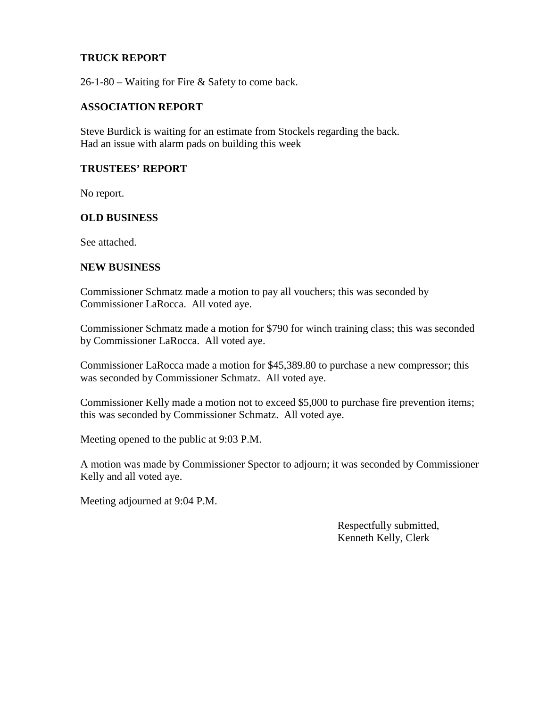## **TRUCK REPORT**

26-1-80 – Waiting for Fire & Safety to come back.

#### **ASSOCIATION REPORT**

Steve Burdick is waiting for an estimate from Stockels regarding the back. Had an issue with alarm pads on building this week

### **TRUSTEES' REPORT**

No report.

#### **OLD BUSINESS**

See attached.

#### **NEW BUSINESS**

Commissioner Schmatz made a motion to pay all vouchers; this was seconded by Commissioner LaRocca. All voted aye.

Commissioner Schmatz made a motion for \$790 for winch training class; this was seconded by Commissioner LaRocca. All voted aye.

Commissioner LaRocca made a motion for \$45,389.80 to purchase a new compressor; this was seconded by Commissioner Schmatz. All voted aye.

Commissioner Kelly made a motion not to exceed \$5,000 to purchase fire prevention items; this was seconded by Commissioner Schmatz. All voted aye.

Meeting opened to the public at 9:03 P.M.

A motion was made by Commissioner Spector to adjourn; it was seconded by Commissioner Kelly and all voted aye.

Meeting adjourned at 9:04 P.M.

Respectfully submitted, Kenneth Kelly, Clerk